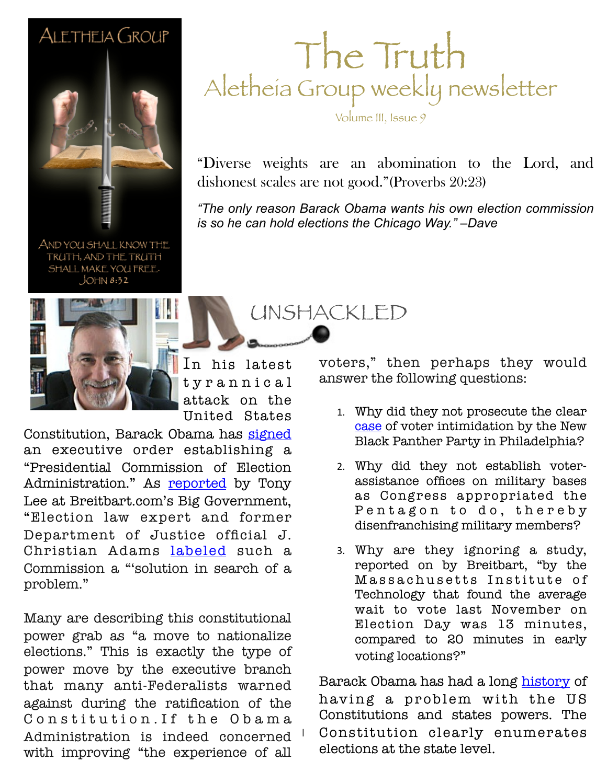#### ALETHEIA GROUP



AND YOU SHALL KNOW THE TRUTH, AND THE TRUTH SHALL MAKE YOU FREE.  $JOHM 8:32$ 



In his latest t y r a n n i c a l attack on the United States

1

Constitution, Barack Obama has [signed](http://www.whitehouse.gov/the-press-office/2013/03/28/executive-order-establishment-presidential-commission-election-administr) an executive order establishing a "Presidential Commission of Election Administration." As **[reported](http://www.breitbart.com/Big-Government/2013/03/29/Obama-Tries-to-Nationalize-Voting-for-Partisan-Gain-by-Signing-Executive-Order-Establishing-Election-Administration-Commission)** by Tony Lee at Breitbart.com's Big Government, "Election law expert and former Department of Justice official J. Christian Adams [labeled](http://pjmedia.com/jchristianadams/2013/02/18/long-lines-tall-tales-and-federalized-elections/?singlepage=true) such a Commission a "'solution in search of a problem."

Many are describing this constitutional power grab as "a move to nationalize elections." This is exactly the type of power move by the executive branch that many anti-Federalists warned against during the ratification of the Constitution. If the Obama Administration is indeed concerned with improving "the experience of all

#### The Truth Aletheia Group weekly newsletter

Volume III, Issue 9

"Diverse weights are an abomination to the Lord, and dishonest scales are not good."(Proverbs 20:23)

**February 26, 2011 Sample** *is so he can hold elections the Chicago Way." –Dave "The only reason Barack Obama wants his own election commission* 

UNSHACKLED

voters," then perhaps they would answer the following questions:

- 1. Why did they not prosecute the clear [case](http://www.wnd.com/2012/11/fraud-intimidation-dirty-tricks-outrages/) of voter intimidation by the New Black Panther Party in Philadelphia?
- 2. Why did they not establish voterassistance offices on military bases as Congress appropriated the Pentagon to do, thereby disenfranchising military members?
- 3. Why are they ignoring a study, reported on by Breitbart, "by the Massachusetts Institute of Technology that found the average wait to vote last November on Election Day was 13 minutes, compared to 20 minutes in early voting locations?"

Barack Obama has had a long [history](http://www.thepoliticalguide.com/Profiles/President/US/Barack_Obama/Views/The_Constitution/) of having a problem with the US Constitutions and states powers. The Constitution clearly enumerates elections at the state level.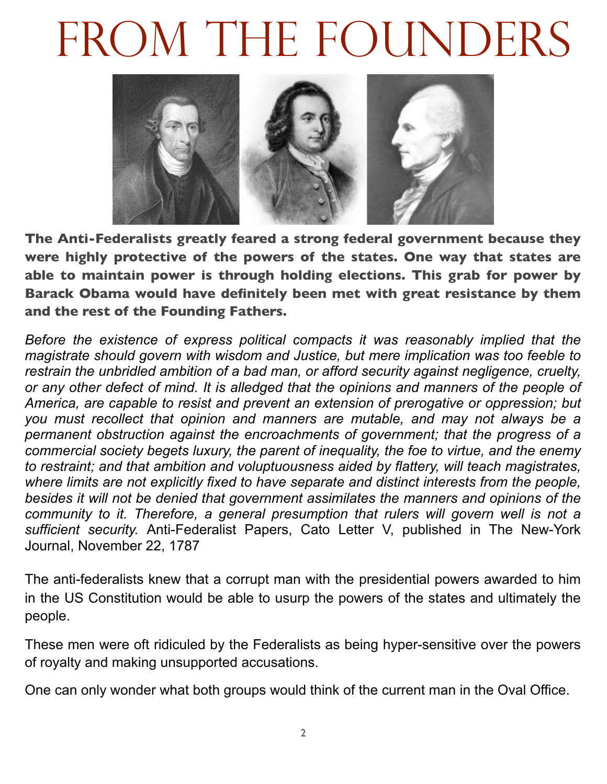### FROM THE FOUNDERS



**The Anti-Federalists greatly feared a strong federal government because they were highly protective of the powers of the states. One way that states are able to maintain power is through holding elections. This grab for power by Barack Obama would have definitely been met with great resistance by them and the rest of the Founding Fathers.**

*Before the existence of express political compacts it was reasonably implied that the magistrate should govern with wisdom and Justice, but mere implication was too feeble to restrain the unbridled ambition of a bad man, or afford security against negligence, cruelty, or any other defect of mind. It is alledged that the opinions and manners of the people of America, are capable to resist and prevent an extension of prerogative or oppression; but you must recollect that opinion and manners are mutable, and may not always be a permanent obstruction against the encroachments of government; that the progress of a commercial society begets luxury, the parent of inequality, the foe to virtue, and the enemy to restraint; and that ambition and voluptuousness aided by flattery, will teach magistrates, where limits are not explicitly fixed to have separate and distinct interests from the people, besides it will not be denied that government assimilates the manners and opinions of the*  community to it. Therefore, a general presumption that rulers will govern well is not a *sufficient security.* Anti-Federalist Papers, Cato Letter V, published in The New-York Journal, November 22, 1787

The anti-federalists knew that a corrupt man with the presidential powers awarded to him in the US Constitution would be able to usurp the powers of the states and ultimately the people.

These men were oft ridiculed by the Federalists as being hyper-sensitive over the powers of royalty and making unsupported accusations.

One can only wonder what both groups would think of the current man in the Oval Office.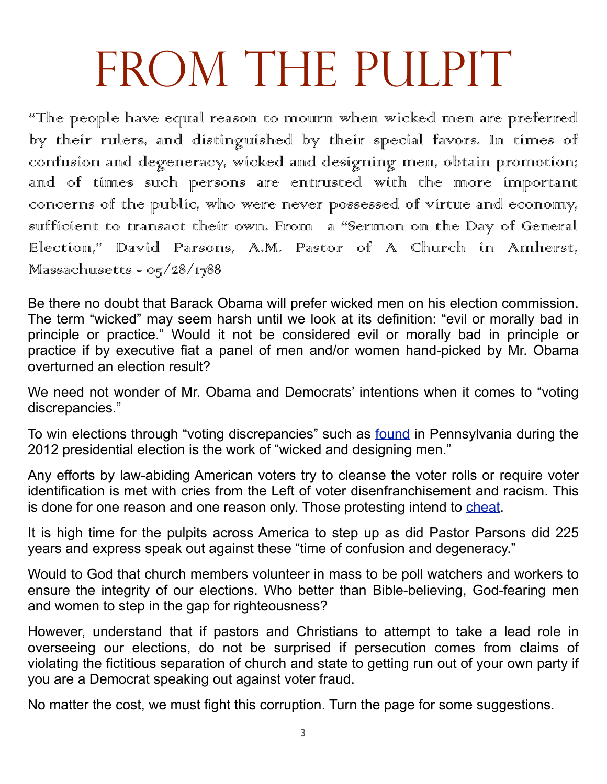## FROM THE PULPIT

"The people have equal reason to mourn when wicked men are preferred by their rulers, and distinguished by their special favors. In times of confusion and degeneracy, wicked and designing men, obtain promotion; and of times such persons are entrusted with the more important concerns of the public, who were never possessed of virtue and economy, suffficient to transact their own. From a "Sermon on the Day of General Election," David Parsons, A.M. Pastor of A Church in Amherst,  $M$ assachusetts - 05/28/1788

Be there no doubt that Barack Obama will prefer wicked men on his election commission. The term "wicked" may seem harsh until we look at its definition: "evil or morally bad in principle or practice." Would it not be considered evil or morally bad in principle or practice if by executive fiat a panel of men and/or women hand-picked by Mr. Obama overturned an election result?

We need not wonder of Mr. Obama and Democrats' intentions when it comes to "voting discrepancies."

To win elections through "voting discrepancies" such as **[found](http://prairiepundit.blogspot.com/2012/11/it-looks-like-democrats-cheated-again.html)** in Pennsylvania during the 2012 presidential election is the work of "wicked and designing men."

Any efforts by law-abiding American voters try to cleanse the voter rolls or require voter identification is met with cries from the Left of voter disenfranchisement and racism. This is done for one reason and one reason only. Those protesting intend to [cheat.](http://www.freerepublic.com/focus/f-bloggers/2859635/posts)

It is high time for the pulpits across America to step up as did Pastor Parsons did 225 years and express speak out against these "time of confusion and degeneracy."

Would to God that church members volunteer in mass to be poll watchers and workers to ensure the integrity of our elections. Who better than Bible-believing, God-fearing men and women to step in the gap for righteousness?

However, understand that if pastors and Christians to attempt to take a lead role in overseeing our elections, do not be surprised if persecution comes from claims of violating the fictitious separation of church and state to getting run out of your own party if you are a Democrat speaking out against voter fraud.

No matter the cost, we must fight this corruption. Turn the page for some suggestions.